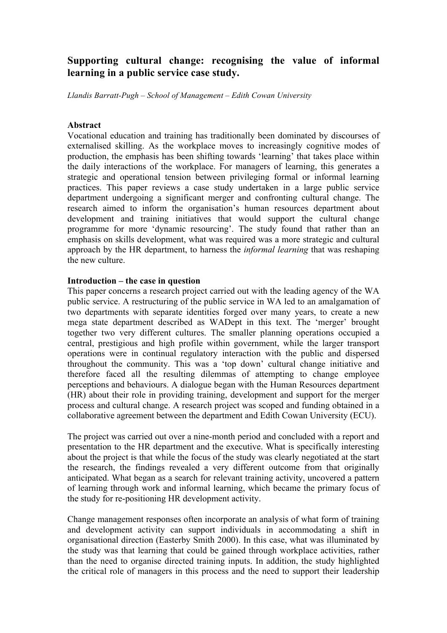# **Supporting cultural change: recognising the value of informal learning in a public service case study.**

*Llandis Barratt-Pugh – School of Management – Edith Cowan University*

#### **Abstract**

Vocational education and training has traditionally been dominated by discourses of externalised skilling. As the workplace moves to increasingly cognitive modes of production, the emphasis has been shifting towards 'learning' that takes place within the daily interactions of the workplace. For managers of learning, this generates a strategic and operational tension between privileging formal or informal learning practices. This paper reviews a case study undertaken in a large public service department undergoing a significant merger and confronting cultural change. The research aimed to inform the organisation's human resources department about development and training initiatives that would support the cultural change programme for more 'dynamic resourcing'. The study found that rather than an emphasis on skills development, what was required was a more strategic and cultural approach by the HR department, to harness the *informal learning* that was reshaping the new culture.

### **Introduction – the case in question**

This paper concerns a research project carried out with the leading agency of the WA public service. A restructuring of the public service in WA led to an amalgamation of two departments with separate identities forged over many years, to create a new mega state department described as WADept in this text. The 'merger' brought together two very different cultures. The smaller planning operations occupied a central, prestigious and high profile within government, while the larger transport operations were in continual regulatory interaction with the public and dispersed throughout the community. This was a 'top down' cultural change initiative and therefore faced all the resulting dilemmas of attempting to change employee perceptions and behaviours. A dialogue began with the Human Resources department (HR) about their role in providing training, development and support for the merger process and cultural change. A research project was scoped and funding obtained in a collaborative agreement between the department and Edith Cowan University (ECU).

The project was carried out over a nine-month period and concluded with a report and presentation to the HR department and the executive. What is specifically interesting about the project is that while the focus of the study was clearly negotiated at the start the research, the findings revealed a very different outcome from that originally anticipated. What began as a search for relevant training activity, uncovered a pattern of learning through work and informal learning, which became the primary focus of the study for re-positioning HR development activity.

Change management responses often incorporate an analysis of what form of training and development activity can support individuals in accommodating a shift in organisational direction (Easterby Smith 2000). In this case, what was illuminated by the study was that learning that could be gained through workplace activities, rather than the need to organise directed training inputs. In addition, the study highlighted the critical role of managers in this process and the need to support their leadership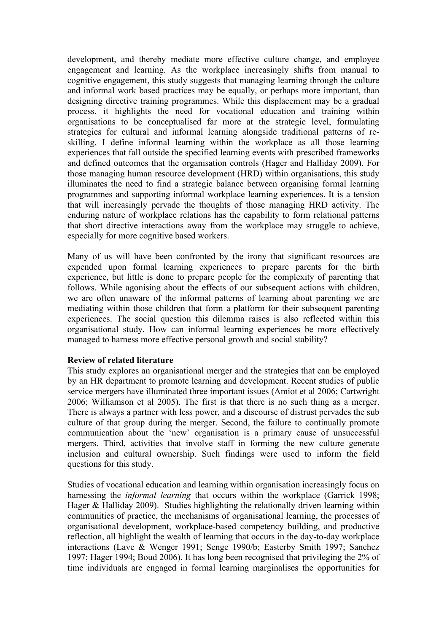development, and thereby mediate more effective culture change, and employee engagement and learning. As the workplace increasingly shifts from manual to cognitive engagement, this study suggests that managing learning through the culture and informal work based practices may be equally, or perhaps more important, than designing directive training programmes. While this displacement may be a gradual process, it highlights the need for vocational education and training within organisations to be conceptualised far more at the strategic level, formulating strategies for cultural and informal learning alongside traditional patterns of reskilling. I define informal learning within the workplace as all those learning experiences that fall outside the specified learning events with prescribed frameworks and defined outcomes that the organisation controls (Hager and Halliday 2009). For those managing human resource development (HRD) within organisations, this study illuminates the need to find a strategic balance between organising formal learning programmes and supporting informal workplace learning experiences. It is a tension that will increasingly pervade the thoughts of those managing HRD activity. The enduring nature of workplace relations has the capability to form relational patterns that short directive interactions away from the workplace may struggle to achieve, especially for more cognitive based workers.

Many of us will have been confronted by the irony that significant resources are expended upon formal learning experiences to prepare parents for the birth experience, but little is done to prepare people for the complexity of parenting that follows. While agonising about the effects of our subsequent actions with children, we are often unaware of the informal patterns of learning about parenting we are mediating within those children that form a platform for their subsequent parenting experiences. The social question this dilemma raises is also reflected within this organisational study. How can informal learning experiences be more effectively managed to harness more effective personal growth and social stability?

### **Review of related literature**

This study explores an organisational merger and the strategies that can be employed by an HR department to promote learning and development. Recent studies of public service mergers have illuminated three important issues (Amiot et al 2006; Cartwright 2006; Williamson et al 2005). The first is that there is no such thing as a merger. There is always a partner with less power, and a discourse of distrust pervades the sub culture of that group during the merger. Second, the failure to continually promote communication about the 'new' organisation is a primary cause of unsuccessful mergers. Third, activities that involve staff in forming the new culture generate inclusion and cultural ownership. Such findings were used to inform the field questions for this study.

Studies of vocational education and learning within organisation increasingly focus on harnessing the *informal learning* that occurs within the workplace (Garrick 1998; Hager & Halliday 2009). Studies highlighting the relationally driven learning within communities of practice, the mechanisms of organisational learning, the processes of organisational development, workplace-based competency building, and productive reflection, all highlight the wealth of learning that occurs in the day-to-day workplace interactions (Lave & Wenger 1991; Senge 1990/b; Easterby Smith 1997; Sanchez 1997; Hager 1994; Boud 2006). It has long been recognised that privileging the 2% of time individuals are engaged in formal learning marginalises the opportunities for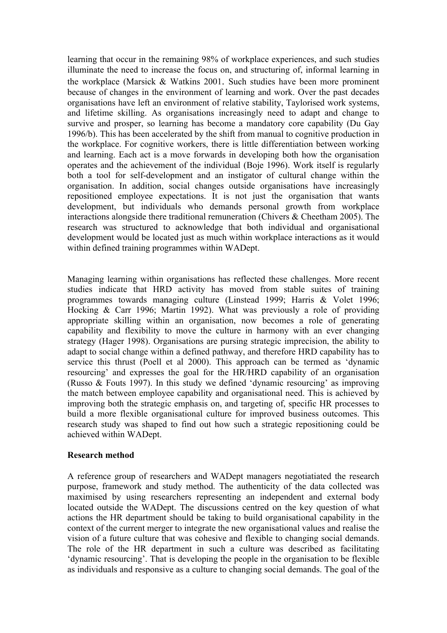learning that occur in the remaining 98% of workplace experiences, and such studies illuminate the need to increase the focus on, and structuring of, informal learning in the workplace (Marsick & Watkins 2001. Such studies have been more prominent because of changes in the environment of learning and work. Over the past decades organisations have left an environment of relative stability, Taylorised work systems, and lifetime skilling. As organisations increasingly need to adapt and change to survive and prosper, so learning has become a mandatory core capability (Du Gay 1996/b). This has been accelerated by the shift from manual to cognitive production in the workplace. For cognitive workers, there is little differentiation between working and learning. Each act is a move forwards in developing both how the organisation operates and the achievement of the individual (Boje 1996). Work itself is regularly both a tool for self-development and an instigator of cultural change within the organisation. In addition, social changes outside organisations have increasingly repositioned employee expectations. It is not just the organisation that wants development, but individuals who demands personal growth from workplace interactions alongside there traditional remuneration (Chivers & Cheetham 2005). The research was structured to acknowledge that both individual and organisational development would be located just as much within workplace interactions as it would within defined training programmes within WADept.

Managing learning within organisations has reflected these challenges. More recent studies indicate that HRD activity has moved from stable suites of training programmes towards managing culture (Linstead 1999; Harris & Volet 1996; Hocking & Carr 1996; Martin 1992). What was previously a role of providing appropriate skilling within an organisation, now becomes a role of generating capability and flexibility to move the culture in harmony with an ever changing strategy (Hager 1998). Organisations are pursing strategic imprecision, the ability to adapt to social change within a defined pathway, and therefore HRD capability has to service this thrust (Poell et al 2000). This approach can be termed as 'dynamic resourcing' and expresses the goal for the HR/HRD capability of an organisation (Russo & Fouts 1997). In this study we defined 'dynamic resourcing' as improving the match between employee capability and organisational need. This is achieved by improving both the strategic emphasis on, and targeting of, specific HR processes to build a more flexible organisational culture for improved business outcomes. This research study was shaped to find out how such a strategic repositioning could be achieved within WADept.

### **Research method**

A reference group of researchers and WADept managers negotiatiated the research purpose, framework and study method. The authenticity of the data collected was maximised by using researchers representing an independent and external body located outside the WADept. The discussions centred on the key question of what actions the HR department should be taking to build organisational capability in the context of the current merger to integrate the new organisational values and realise the vision of a future culture that was cohesive and flexible to changing social demands. The role of the HR department in such a culture was described as facilitating 'dynamic resourcing'. That is developing the people in the organisation to be flexible as individuals and responsive as a culture to changing social demands. The goal of the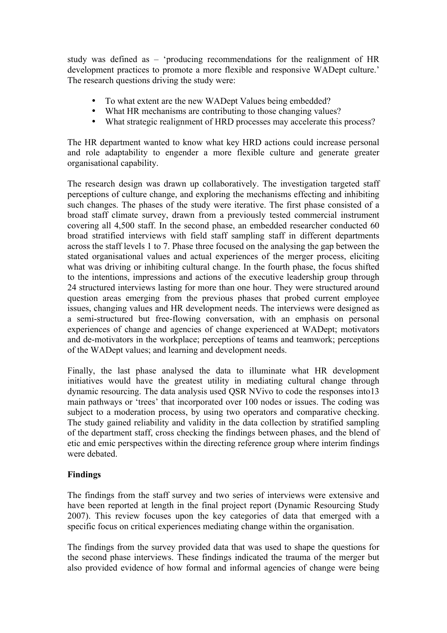study was defined as – 'producing recommendations for the realignment of HR development practices to promote a more flexible and responsive WADept culture.' The research questions driving the study were:

- To what extent are the new WADept Values being embedded?
- What HR mechanisms are contributing to those changing values?
- What strategic realignment of HRD processes may accelerate this process?

The HR department wanted to know what key HRD actions could increase personal and role adaptability to engender a more flexible culture and generate greater organisational capability.

The research design was drawn up collaboratively. The investigation targeted staff perceptions of culture change, and exploring the mechanisms effecting and inhibiting such changes. The phases of the study were iterative. The first phase consisted of a broad staff climate survey, drawn from a previously tested commercial instrument covering all 4,500 staff. In the second phase, an embedded researcher conducted 60 broad stratified interviews with field staff sampling staff in different departments across the staff levels 1 to 7. Phase three focused on the analysing the gap between the stated organisational values and actual experiences of the merger process, eliciting what was driving or inhibiting cultural change. In the fourth phase, the focus shifted to the intentions, impressions and actions of the executive leadership group through 24 structured interviews lasting for more than one hour. They were structured around question areas emerging from the previous phases that probed current employee issues, changing values and HR development needs. The interviews were designed as a semi-structured but free-flowing conversation, with an emphasis on personal experiences of change and agencies of change experienced at WADept; motivators and de-motivators in the workplace; perceptions of teams and teamwork; perceptions of the WADept values; and learning and development needs.

Finally, the last phase analysed the data to illuminate what HR development initiatives would have the greatest utility in mediating cultural change through dynamic resourcing. The data analysis used QSR NVivo to code the responses into13 main pathways or 'trees' that incorporated over 100 nodes or issues. The coding was subject to a moderation process, by using two operators and comparative checking. The study gained reliability and validity in the data collection by stratified sampling of the department staff, cross checking the findings between phases, and the blend of etic and emic perspectives within the directing reference group where interim findings were debated.

## **Findings**

The findings from the staff survey and two series of interviews were extensive and have been reported at length in the final project report (Dynamic Resourcing Study 2007). This review focuses upon the key categories of data that emerged with a specific focus on critical experiences mediating change within the organisation.

The findings from the survey provided data that was used to shape the questions for the second phase interviews. These findings indicated the trauma of the merger but also provided evidence of how formal and informal agencies of change were being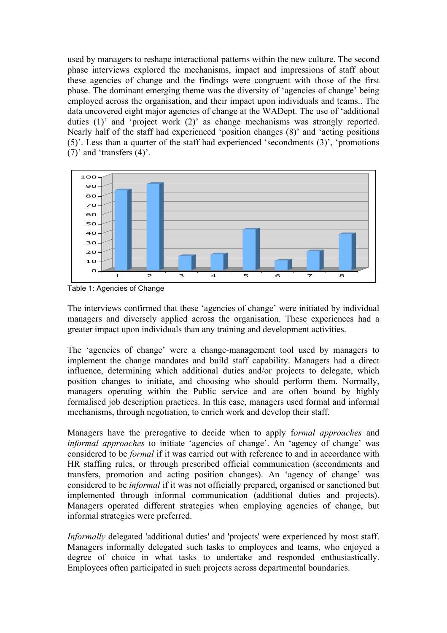used by managers to reshape interactional patterns within the new culture. The second phase interviews explored the mechanisms, impact and impressions of staff about these agencies of change and the findings were congruent with those of the first phase. The dominant emerging theme was the diversity of 'agencies of change' being employed across the organisation, and their impact upon individuals and teams.. The data uncovered eight major agencies of change at the WADept. The use of 'additional duties (1)' and 'project work (2)' as change mechanisms was strongly reported. Nearly half of the staff had experienced 'position changes (8)' and 'acting positions (5)'. Less than a quarter of the staff had experienced 'secondments (3)', 'promotions (7)' and 'transfers (4)'.



Table 1: Agencies of Change

The interviews confirmed that these 'agencies of change' were initiated by individual managers and diversely applied across the organisation. These experiences had a greater impact upon individuals than any training and development activities.

The 'agencies of change' were a change-management tool used by managers to implement the change mandates and build staff capability. Managers had a direct influence, determining which additional duties and/or projects to delegate, which position changes to initiate, and choosing who should perform them. Normally, managers operating within the Public service and are often bound by highly formalised job description practices. In this case, managers used formal and informal mechanisms, through negotiation, to enrich work and develop their staff.

Managers have the prerogative to decide when to apply f*ormal approaches* and *informal approaches* to initiate 'agencies of change'. An 'agency of change' was considered to be *formal* if it was carried out with reference to and in accordance with HR staffing rules, or through prescribed official communication (secondments and transfers, promotion and acting position changes). An 'agency of change' was considered to be *informal* if it was not officially prepared, organised or sanctioned but implemented through informal communication (additional duties and projects). Managers operated different strategies when employing agencies of change, but informal strategies were preferred.

*Informally* delegated 'additional duties' and 'projects' were experienced by most staff. Managers informally delegated such tasks to employees and teams, who enjoyed a degree of choice in what tasks to undertake and responded enthusiastically. Employees often participated in such projects across departmental boundaries.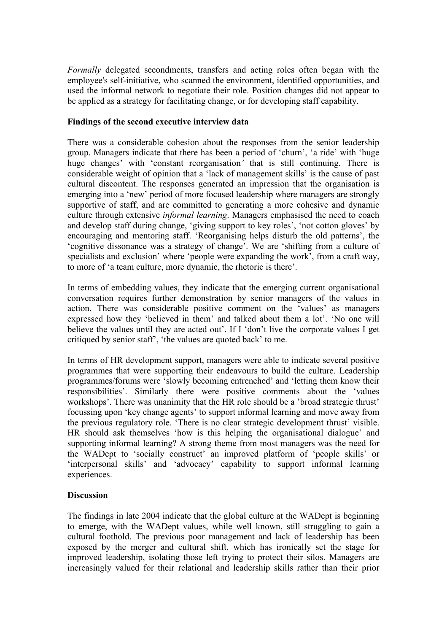*Formally* delegated secondments, transfers and acting roles often began with the employee's self-initiative, who scanned the environment, identified opportunities, and used the informal network to negotiate their role. Position changes did not appear to be applied as a strategy for facilitating change, or for developing staff capability.

## **Findings of the second executive interview data**

There was a considerable cohesion about the responses from the senior leadership group. Managers indicate that there has been a period of 'churn', 'a ride' with 'huge huge changes' with 'constant reorganisation*'* that is still continuing. There is considerable weight of opinion that a 'lack of management skills' is the cause of past cultural discontent. The responses generated an impression that the organisation is emerging into a 'new' period of more focused leadership where managers are strongly supportive of staff, and are committed to generating a more cohesive and dynamic culture through extensive *informal learning*. Managers emphasised the need to coach and develop staff during change, 'giving support to key roles', 'not cotton gloves' by encouraging and mentoring staff. 'Reorganising helps disturb the old patterns', the 'cognitive dissonance was a strategy of change'. We are 'shifting from a culture of specialists and exclusion' where 'people were expanding the work', from a craft way, to more of 'a team culture, more dynamic, the rhetoric is there'.

In terms of embedding values, they indicate that the emerging current organisational conversation requires further demonstration by senior managers of the values in action. There was considerable positive comment on the 'values' as managers expressed how they 'believed in them' and talked about them a lot'. 'No one will believe the values until they are acted out'. If I 'don't live the corporate values I get critiqued by senior staff', 'the values are quoted back' to me.

In terms of HR development support, managers were able to indicate several positive programmes that were supporting their endeavours to build the culture. Leadership programmes/forums were 'slowly becoming entrenched' and 'letting them know their responsibilities'. Similarly there were positive comments about the 'values workshops'. There was unanimity that the HR role should be a 'broad strategic thrust' focussing upon 'key change agents' to support informal learning and move away from the previous regulatory role. 'There is no clear strategic development thrust' visible. HR should ask themselves 'how is this helping the organisational dialogue' and supporting informal learning? A strong theme from most managers was the need for the WADept to 'socially construct' an improved platform of 'people skills' or 'interpersonal skills' and 'advocacy' capability to support informal learning experiences.

## **Discussion**

The findings in late 2004 indicate that the global culture at the WADept is beginning to emerge, with the WADept values, while well known, still struggling to gain a cultural foothold. The previous poor management and lack of leadership has been exposed by the merger and cultural shift, which has ironically set the stage for improved leadership, isolating those left trying to protect their silos. Managers are increasingly valued for their relational and leadership skills rather than their prior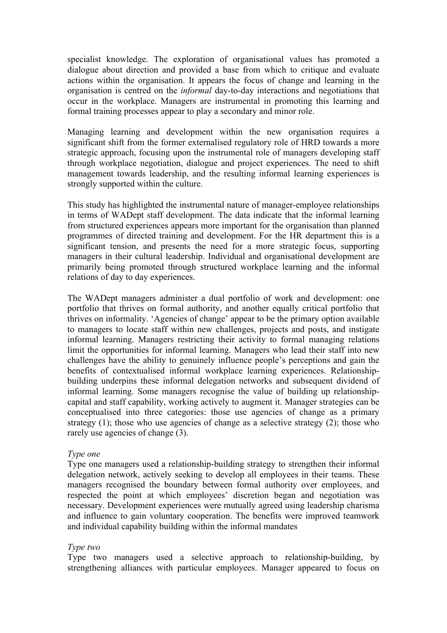specialist knowledge. The exploration of organisational values has promoted a dialogue about direction and provided a base from which to critique and evaluate actions within the organisation. It appears the focus of change and learning in the organisation is centred on the *informal* day-to-day interactions and negotiations that occur in the workplace. Managers are instrumental in promoting this learning and formal training processes appear to play a secondary and minor role.

Managing learning and development within the new organisation requires a significant shift from the former externalised regulatory role of HRD towards a more strategic approach, focusing upon the instrumental role of managers developing staff through workplace negotiation, dialogue and project experiences. The need to shift management towards leadership, and the resulting informal learning experiences is strongly supported within the culture.

This study has highlighted the instrumental nature of manager-employee relationships in terms of WADept staff development. The data indicate that the informal learning from structured experiences appears more important for the organisation than planned programmes of directed training and development. For the HR department this is a significant tension, and presents the need for a more strategic focus, supporting managers in their cultural leadership. Individual and organisational development are primarily being promoted through structured workplace learning and the informal relations of day to day experiences.

The WADept managers administer a dual portfolio of work and development: one portfolio that thrives on formal authority, and another equally critical portfolio that thrives on informality. 'Agencies of change' appear to be the primary option available to managers to locate staff within new challenges, projects and posts, and instigate informal learning. Managers restricting their activity to formal managing relations limit the opportunities for informal learning. Managers who lead their staff into new challenges have the ability to genuinely influence people's perceptions and gain the benefits of contextualised informal workplace learning experiences. Relationshipbuilding underpins these informal delegation networks and subsequent dividend of informal learning. Some managers recognise the value of building up relationshipcapital and staff capability, working actively to augment it. Manager strategies can be conceptualised into three categories: those use agencies of change as a primary strategy (1); those who use agencies of change as a selective strategy (2); those who rarely use agencies of change (3).

### *Type one*

Type one managers used a relationship-building strategy to strengthen their informal delegation network, actively seeking to develop all employees in their teams. These managers recognised the boundary between formal authority over employees, and respected the point at which employees' discretion began and negotiation was necessary. Development experiences were mutually agreed using leadership charisma and influence to gain voluntary cooperation. The benefits were improved teamwork and individual capability building within the informal mandates

### *Type two*

Type two managers used a selective approach to relationship-building, by strengthening alliances with particular employees. Manager appeared to focus on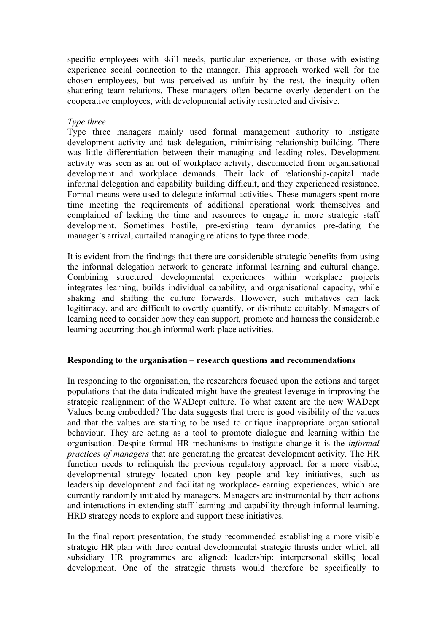specific employees with skill needs, particular experience, or those with existing experience social connection to the manager. This approach worked well for the chosen employees, but was perceived as unfair by the rest, the inequity often shattering team relations. These managers often became overly dependent on the cooperative employees, with developmental activity restricted and divisive.

## *Type three*

Type three managers mainly used formal management authority to instigate development activity and task delegation, minimising relationship-building. There was little differentiation between their managing and leading roles. Development activity was seen as an out of workplace activity, disconnected from organisational development and workplace demands. Their lack of relationship-capital made informal delegation and capability building difficult, and they experienced resistance. Formal means were used to delegate informal activities. These managers spent more time meeting the requirements of additional operational work themselves and complained of lacking the time and resources to engage in more strategic staff development. Sometimes hostile, pre-existing team dynamics pre-dating the manager's arrival, curtailed managing relations to type three mode.

It is evident from the findings that there are considerable strategic benefits from using the informal delegation network to generate informal learning and cultural change. Combining structured developmental experiences within workplace projects integrates learning, builds individual capability, and organisational capacity, while shaking and shifting the culture forwards. However, such initiatives can lack legitimacy, and are difficult to overtly quantify, or distribute equitably. Managers of learning need to consider how they can support, promote and harness the considerable learning occurring though informal work place activities.

### **Responding to the organisation – research questions and recommendations**

In responding to the organisation, the researchers focused upon the actions and target populations that the data indicated might have the greatest leverage in improving the strategic realignment of the WADept culture. To what extent are the new WADept Values being embedded? The data suggests that there is good visibility of the values and that the values are starting to be used to critique inappropriate organisational behaviour. They are acting as a tool to promote dialogue and learning within the organisation. Despite formal HR mechanisms to instigate change it is the *informal practices of managers* that are generating the greatest development activity. The HR function needs to relinquish the previous regulatory approach for a more visible, developmental strategy located upon key people and key initiatives, such as leadership development and facilitating workplace-learning experiences, which are currently randomly initiated by managers. Managers are instrumental by their actions and interactions in extending staff learning and capability through informal learning. HRD strategy needs to explore and support these initiatives.

In the final report presentation, the study recommended establishing a more visible strategic HR plan with three central developmental strategic thrusts under which all subsidiary HR programmes are aligned: leadership: interpersonal skills; local development. One of the strategic thrusts would therefore be specifically to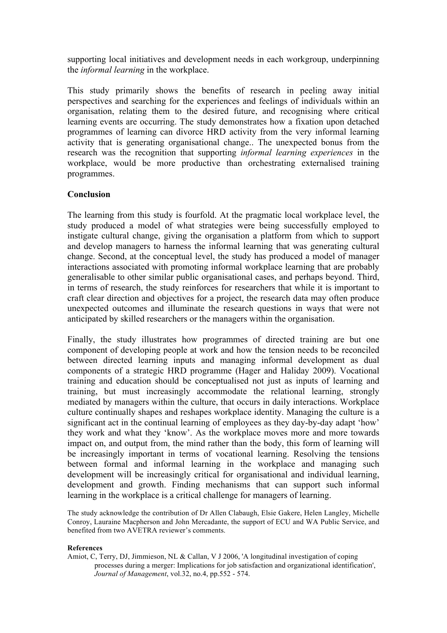supporting local initiatives and development needs in each workgroup, underpinning the *informal learning* in the workplace.

This study primarily shows the benefits of research in peeling away initial perspectives and searching for the experiences and feelings of individuals within an organisation, relating them to the desired future, and recognising where critical learning events are occurring. The study demonstrates how a fixation upon detached programmes of learning can divorce HRD activity from the very informal learning activity that is generating organisational change.. The unexpected bonus from the research was the recognition that supporting *informal learning experiences* in the workplace, would be more productive than orchestrating externalised training programmes.

### **Conclusion**

The learning from this study is fourfold. At the pragmatic local workplace level, the study produced a model of what strategies were being successfully employed to instigate cultural change, giving the organisation a platform from which to support and develop managers to harness the informal learning that was generating cultural change. Second, at the conceptual level, the study has produced a model of manager interactions associated with promoting informal workplace learning that are probably generalisable to other similar public organisational cases, and perhaps beyond. Third, in terms of research, the study reinforces for researchers that while it is important to craft clear direction and objectives for a project, the research data may often produce unexpected outcomes and illuminate the research questions in ways that were not anticipated by skilled researchers or the managers within the organisation.

Finally, the study illustrates how programmes of directed training are but one component of developing people at work and how the tension needs to be reconciled between directed learning inputs and managing informal development as dual components of a strategic HRD programme (Hager and Haliday 2009). Vocational training and education should be conceptualised not just as inputs of learning and training, but must increasingly accommodate the relational learning, strongly mediated by managers within the culture, that occurs in daily interactions. Workplace culture continually shapes and reshapes workplace identity. Managing the culture is a significant act in the continual learning of employees as they day-by-day adapt 'how' they work and what they 'know'. As the workplace moves more and more towards impact on, and output from, the mind rather than the body, this form of learning will be increasingly important in terms of vocational learning. Resolving the tensions between formal and informal learning in the workplace and managing such development will be increasingly critical for organisational and individual learning, development and growth. Finding mechanisms that can support such informal learning in the workplace is a critical challenge for managers of learning.

The study acknowledge the contribution of Dr Allen Clabaugh, Elsie Gakere, Helen Langley, Michelle Conroy, Lauraine Macpherson and John Mercadante, the support of ECU and WA Public Service, and benefited from two AVETRA reviewer's comments.

#### **References**

Amiot, C, Terry, DJ, Jimmieson, NL & Callan, V J 2006, 'A longitudinal investigation of coping processes during a merger: Implications for job satisfaction and organizational identification', *Journal of Management*, vol.32, no.4, pp.552 - 574.